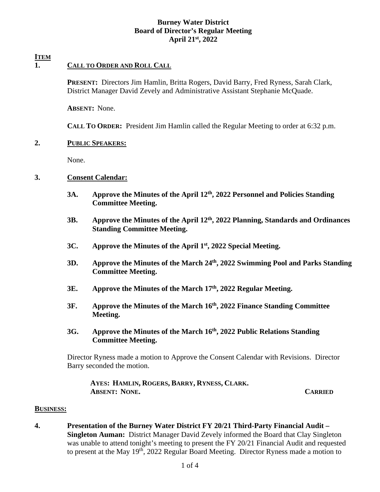# **Burney Water District Board of Director's Regular Meeting April 21st, 2022**

## **ITEM**

# **1. CALL TO ORDER AND ROLL CALL**

 **PRESENT:** Directors Jim Hamlin, Britta Rogers, David Barry, Fred Ryness, Sarah Clark, District Manager David Zevely and Administrative Assistant Stephanie McQuade.

 **ABSENT:** None.

 **CALL TO ORDER:** President Jim Hamlin called the Regular Meeting to order at 6:32 p.m.

#### **2. PUBLIC SPEAKERS:**

None.

## **3. Consent Calendar:**

- **3A. Approve the Minutes of the April 12th, 2022 Personnel and Policies Standing Committee Meeting.**
- **3B. Approve the Minutes of the April 12th, 2022 Planning, Standards and Ordinances Standing Committee Meeting.**
- **3C. Approve the Minutes of the April 1st, 2022 Special Meeting.**
- **3D. Approve the Minutes of the March 24th, 2022 Swimming Pool and Parks Standing Committee Meeting.**
- **3E. Approve the Minutes of the March 17th, 2022 Regular Meeting.**
- **3F. Approve the Minutes of the March 16th, 2022 Finance Standing Committee Meeting.**
- **3G. Approve the Minutes of the March 16th, 2022 Public Relations Standing Committee Meeting.**

Director Ryness made a motion to Approve the Consent Calendar with Revisions. Director Barry seconded the motion.

 **AYES: HAMLIN, ROGERS, BARRY, RYNESS, CLARK. ABSENT: NONE. CARRIED**

#### **BUSINESS:**

**4. Presentation of the Burney Water District FY 20/21 Third-Party Financial Audit – Singleton Auman:** District Manager David Zevely informed the Board that Clay Singleton was unable to attend tonight's meeting to present the FY 20/21 Financial Audit and requested to present at the May 19<sup>th</sup>, 2022 Regular Board Meeting. Director Ryness made a motion to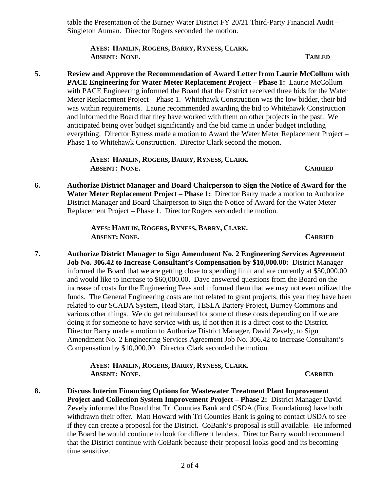table the Presentation of the Burney Water District FY 20/21 Third-Party Financial Audit – Singleton Auman. Director Rogers seconded the motion.

 **AYES: HAMLIN, ROGERS, BARRY, RYNESS, CLARK. ABSENT: NONE. TABLED**

**5. Review and Approve the Recommendation of Award Letter from Laurie McCollum with PACE Engineering for Water Meter Replacement Project – Phase 1: Laurie McCollum** with PACE Engineering informed the Board that the District received three bids for the Water Meter Replacement Project – Phase 1. Whitehawk Construction was the low bidder, their bid was within requirements. Laurie recommended awarding the bid to Whitehawk Construction and informed the Board that they have worked with them on other projects in the past. We anticipated being over budget significantly and the bid came in under budget including everything. Director Ryness made a motion to Award the Water Meter Replacement Project – Phase 1 to Whitehawk Construction. Director Clark second the motion.

> **AYES: HAMLIN, ROGERS, BARRY, RYNESS, CLARK. ABSENT: NONE. CARRIED**

**6. Authorize District Manager and Board Chairperson to Sign the Notice of Award for the Water Meter Replacement Project – Phase 1:** Director Barry made a motion to Authorize District Manager and Board Chairperson to Sign the Notice of Award for the Water Meter Replacement Project – Phase 1. Director Rogers seconded the motion.

> **AYES: HAMLIN, ROGERS, RYNESS, BARRY, CLARK. ABSENT: NONE. CARRIED**

**7. Authorize District Manager to Sign Amendment No. 2 Engineering Services Agreement Job No. 306.42 to Increase Consultant's Compensation by \$10,000.00:** District Manager informed the Board that we are getting close to spending limit and are currently at \$50,000.00 and would like to increase to \$60,000.00. Dave answered questions from the Board on the increase of costs for the Engineering Fees and informed them that we may not even utilized the funds. The General Engineering costs are not related to grant projects, this year they have been related to our SCADA System, Head Start, TESLA Battery Project, Burney Commons and various other things. We do get reimbursed for some of these costs depending on if we are doing it for someone to have service with us, if not then it is a direct cost to the District. Director Barry made a motion to Authorize District Manager, David Zevely, to Sign Amendment No. 2 Engineering Services Agreement Job No. 306.42 to Increase Consultant's Compensation by \$10,000.00. Director Clark seconded the motion.

> **AYES: HAMLIN, ROGERS, BARRY, RYNESS, CLARK. ABSENT: NONE. CARRIED**

**8. Discuss Interim Financing Options for Wastewater Treatment Plant Improvement Project and Collection System Improvement Project – Phase 2:** District Manager David Zevely informed the Board that Tri Counties Bank and CSDA (First Foundations) have both withdrawn their offer. Matt Howard with Tri Counties Bank is going to contact USDA to see if they can create a proposal for the District. CoBank's proposal is still available. He informed the Board he would continue to look for different lenders. Director Barry would recommend that the District continue with CoBank because their proposal looks good and its becoming time sensitive.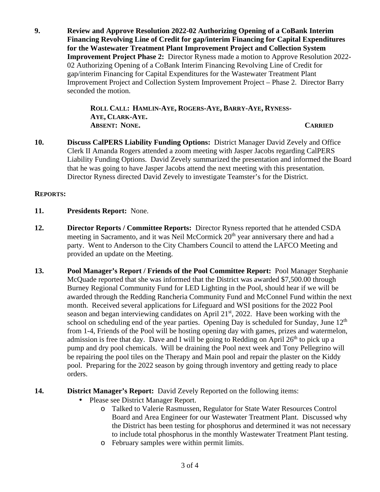**9. Review and Approve Resolution 2022-02 Authorizing Opening of a CoBank Interim Financing Revolving Line of Credit for gap/interim Financing for Capital Expenditures for the Wastewater Treatment Plant Improvement Project and Collection System Improvement Project Phase 2:** Director Ryness made a motion to Approve Resolution 2022- 02 Authorizing Opening of a CoBank Interim Financing Revolving Line of Credit for gap/interim Financing for Capital Expenditures for the Wastewater Treatment Plant Improvement Project and Collection System Improvement Project – Phase 2. Director Barry seconded the motion.

> **ROLL CALL: HAMLIN-AYE, ROGERS-AYE, BARRY-AYE, RYNESS-AYE, CLARK-AYE. ABSENT: NONE. CARRIED**

**10. Discuss CalPERS Liability Funding Options:** District Manager David Zevely and Office Clerk II Amanda Rogers attended a zoom meeting with Jasper Jacobs regarding CalPERS Liability Funding Options. David Zevely summarized the presentation and informed the Board that he was going to have Jasper Jacobs attend the next meeting with this presentation. Director Ryness directed David Zevely to investigate Teamster's for the District.

### **REPORTS:**

- **11. Presidents Report:** None.
- **12. Director Reports / Committee Reports:** Director Ryness reported that he attended CSDA meeting in Sacramento, and it was Neil McCormick  $20<sup>th</sup>$  year anniversary there and had a party. Went to Anderson to the City Chambers Council to attend the LAFCO Meeting and provided an update on the Meeting.
- **13. Pool Manager's Report / Friends of the Pool Committee Report:** Pool Manager Stephanie McQuade reported that she was informed that the District was awarded \$7,500.00 through Burney Regional Community Fund for LED Lighting in the Pool, should hear if we will be awarded through the Redding Rancheria Community Fund and McConnel Fund within the next month. Received several applications for Lifeguard and WSI positions for the 2022 Pool season and began interviewing candidates on April 21<sup>st</sup>, 2022. Have been working with the school on scheduling end of the year parties. Opening Day is scheduled for Sunday, June  $12<sup>th</sup>$ from 1-4, Friends of the Pool will be hosting opening day with games, prizes and watermelon, admission is free that day. Dave and I will be going to Redding on April  $26<sup>th</sup>$  to pick up a pump and dry pool chemicals. Will be draining the Pool next week and Tony Pellegrino will be repairing the pool tiles on the Therapy and Main pool and repair the plaster on the Kiddy pool. Preparing for the 2022 season by going through inventory and getting ready to place orders.
- **14. District Manager's Report:** David Zevely Reported on the following items:
	- Please see District Manager Report.
		- o Talked to Valerie Rasmussen, Regulator for State Water Resources Control Board and Area Engineer for our Wastewater Treatment Plant. Discussed why the District has been testing for phosphorus and determined it was not necessary to include total phosphorus in the monthly Wastewater Treatment Plant testing.
		- o February samples were within permit limits.